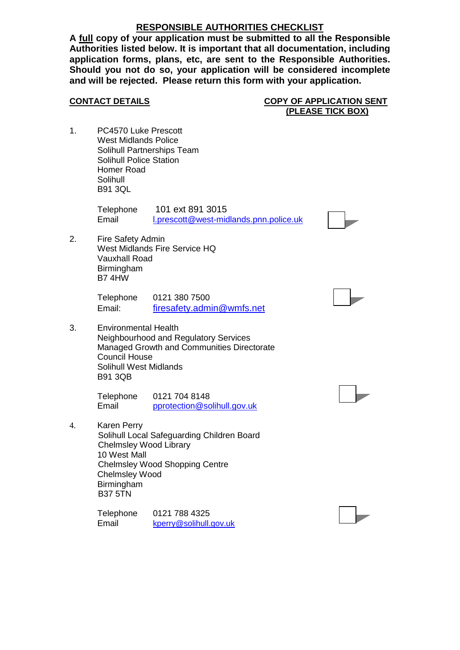## **RESPONSIBLE AUTHORITIES CHECKLIST**

**A full copy of your application must be submitted to all the Responsible Authorities listed below. It is important that all documentation, including application forms, plans, etc, are sent to the Responsible Authorities. Should you not do so, your application will be considered incomplete and will be rejected. Please return this form with your application.**

**CONTACT DETAILS COPY OF APPLICATION SENT (PLEASE TICK BOX)**

1. PC4570 Luke Prescott West Midlands Police Solihull Partnerships Team Solihull Police Station Homer Road Solihull B91 3QL

> Telephone 101 ext 891 3015 Email [l.prescott@west-midlands.pnn.police.uk](mailto:l.prescott@west-midlands.pnn.police.uk)

2. Fire Safety Admin West Midlands Fire Service HQ Vauxhall Road **Birmingham** B7 4HW

> Telephone 0121 380 7500 Email: [firesafety.admin@wmfs.net](mailto:firesafety.admin@wmfs.net)

3. Environmental Health Neighbourhood and Regulatory Services Managed Growth and Communities Directorate Council House Solihull West Midlands B91 3QB

> Telephone 0121 704 8148 Email [pprotection@solihull.gov.uk](mailto:pprotection@solihull.gov.uk)

4. Karen Perry

 Solihull Local Safeguarding Children Board Chelmsley Wood Library 10 West Mall Chelmsley Wood Shopping Centre Chelmsley Wood Birmingham B37 5TN

Telephone 0121 788 4325 Email [kperry@solihull.gov.uk](mailto:kperry@solihull.gov.uk)